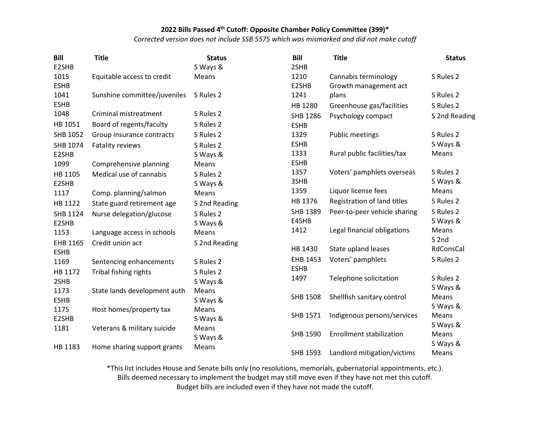*Corrected version does not include SSB 5575 which was mismarked and did not make cutoff*

| <b>Bill</b> | <b>Title</b>                 | <b>Status</b> | <b>Bill</b>     | <b>Title</b>                    | <b>Status</b>    |
|-------------|------------------------------|---------------|-----------------|---------------------------------|------------------|
| E2SHB       |                              | S Ways &      | 2SHB            |                                 |                  |
| 1015        | Equitable access to credit   | Means         | 1210            | Cannabis terminology            | S Rules 2        |
| <b>ESHB</b> |                              |               | E2SHB           | Growth management act           |                  |
| 1041        | Sunshine committee/juveniles | S Rules 2     | 1241            | plans                           | S Rules 2        |
| <b>ESHB</b> |                              |               | HB 1280         | Greenhouse gas/facilities       | S Rules 2        |
| 1048        | Criminal mistreatment        | S Rules 2     | SHB 1286        | Psychology compact              | S 2nd Reading    |
| HB 1051     | Board of regents/faculty     | S Rules 2     | <b>ESHB</b>     |                                 |                  |
| SHB 1052    | Group insurance contracts    | S Rules 2     | 1329            | <b>Public meetings</b>          | S Rules 2        |
| SHB 1074    | <b>Fatality reviews</b>      | S Rules 2     | <b>ESHB</b>     |                                 | S Ways &         |
| E2SHB       |                              | S Ways &      | 1333            | Rural public facilities/tax     | Means            |
| 1099        | Comprehensive planning       | Means         | <b>ESHB</b>     |                                 |                  |
| HB 1105     | Medical use of cannabis      | S Rules 2     | 1357            | Voters' pamphlets overseas      | S Rules 2        |
| E2SHB       |                              | S Ways &      | 3SHB            |                                 | S Ways &         |
| 1117        | Comp. planning/salmon        | Means         | 1359            | Liquor license fees             | Means            |
| HB 1122     | State guard retirement age   | S 2nd Reading | HB 1376         | Registration of land titles     | S Rules 2        |
| SHB 1124    | Nurse delegation/glucose     | S Rules 2     | SHB 1389        | Peer-to-peer vehicle sharing    | S Rules 2        |
| E2SHB       |                              | S Ways &      | E4SHB           |                                 | S Ways &         |
| 1153        | Language access in schools   | Means         | 1412            | Legal financial obligations     | Means            |
| EHB 1165    | Credit union act             | S 2nd Reading |                 |                                 | S <sub>2nd</sub> |
| <b>ESHB</b> |                              |               | HB 1430         | State upland leases             | RdConsCal        |
| 1169        | Sentencing enhancements      | S Rules 2     | EHB 1453        | Voters' pamphlets               | S Rules 2        |
| HB 1172     | Tribal fishing rights        | S Rules 2     | <b>ESHB</b>     |                                 |                  |
| 2SHB        |                              | S Ways &      | 1497            | Telephone solicitation          | S Rules 2        |
| 1173        | State lands development auth | Means         |                 |                                 | S Ways &         |
| <b>ESHB</b> |                              | S Ways &      | <b>SHB 1508</b> | Shellfish sanitary control      | Means            |
| 1175        | Host homes/property tax      | Means         |                 |                                 | S Ways &         |
| E2SHB       |                              | S Ways &      | SHB 1571        | Indigenous persons/services     | Means            |
| 1181        | Veterans & military suicide  | Means         |                 |                                 | S Ways &         |
|             |                              | S Ways &      | SHB 1590        | <b>Enrollment stabilization</b> | Means            |
| HB 1183     | Home sharing support grants  | Means         |                 |                                 | S Ways &         |
|             |                              |               | SHB 1593        | Landlord mitigation/victims     | Means            |

\*This list includes House and Senate bills only (no resolutions, memorials, gubernatorial appointments, etc.). Bills deemed necessary to implement the budget may still move even if they have not met this cutoff.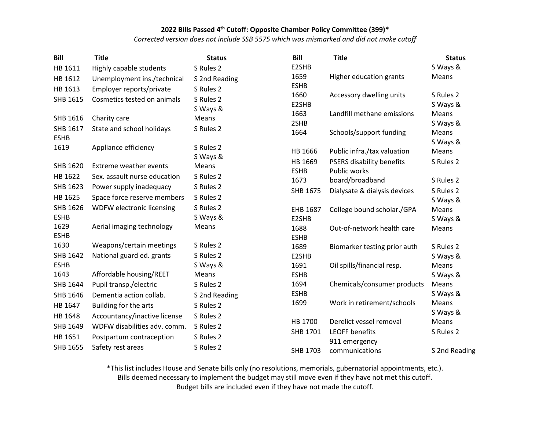*Corrected version does not include SSB 5575 which was mismarked and did not make cutoff*

| <b>Bill</b>     | <b>Title</b>                  | <b>Status</b> | <b>Bill</b>            | <b>Title</b>                              | <b>Status</b>     |
|-----------------|-------------------------------|---------------|------------------------|-------------------------------------------|-------------------|
| HB 1611         | Highly capable students       | S Rules 2     | E2SHB                  |                                           | S Ways &          |
| HB 1612         | Unemployment ins./technical   | S 2nd Reading | 1659                   | Higher education grants                   | Means             |
| HB 1613         | Employer reports/private      | S Rules 2     | <b>ESHB</b>            |                                           |                   |
| SHB 1615        | Cosmetics tested on animals   | S Rules 2     | 1660                   | Accessory dwelling units                  | S Rules 2         |
|                 |                               | S Ways &      | E2SHB                  |                                           | S Ways &          |
| SHB 1616        | Charity care                  | Means         | 1663                   | Landfill methane emissions                | Means             |
| SHB 1617        | State and school holidays     | S Rules 2     | 2SHB                   |                                           | S Ways &          |
| <b>ESHB</b>     |                               |               | 1664                   | Schools/support funding                   | Means             |
| 1619            | Appliance efficiency          | S Rules 2     | HB 1666                | Public infra./tax valuation               | S Ways &<br>Means |
|                 |                               | S Ways &      |                        |                                           |                   |
| SHB 1620        | <b>Extreme weather events</b> | Means         | HB 1669<br><b>ESHB</b> | PSERS disability benefits<br>Public works | S Rules 2         |
| HB 1622         | Sex. assault nurse education  | S Rules 2     | 1673                   | board/broadband                           | S Rules 2         |
| SHB 1623        | Power supply inadequacy       | S Rules 2     | SHB 1675               | Dialysate & dialysis devices              | S Rules 2         |
| HB 1625         | Space force reserve members   | S Rules 2     |                        |                                           | S Ways &          |
| SHB 1626        | WDFW electronic licensing     | S Rules 2     | EHB 1687               | College bound scholar./GPA                | Means             |
| <b>ESHB</b>     |                               | S Ways &      | E2SHB                  |                                           | S Ways &          |
| 1629            | Aerial imaging technology     | Means         | 1688                   | Out-of-network health care                | Means             |
| <b>ESHB</b>     |                               |               | <b>ESHB</b>            |                                           |                   |
| 1630            | Weapons/certain meetings      | S Rules 2     | 1689                   | Biomarker testing prior auth              | S Rules 2         |
| SHB 1642        | National guard ed. grants     | S Rules 2     | E2SHB                  |                                           | S Ways &          |
| <b>ESHB</b>     |                               | S Ways &      | 1691                   | Oil spills/financial resp.                | Means             |
| 1643            | Affordable housing/REET       | Means         | <b>ESHB</b>            |                                           | S Ways &          |
| SHB 1644        | Pupil transp./electric        | S Rules 2     | 1694                   | Chemicals/consumer products               | Means             |
| SHB 1646        | Dementia action collab.       | S 2nd Reading | <b>ESHB</b>            |                                           | S Ways &          |
| HB 1647         | Building for the arts         | S Rules 2     | 1699                   | Work in retirement/schools                | Means             |
| HB 1648         | Accountancy/inactive license  | S Rules 2     |                        |                                           | S Ways &          |
| SHB 1649        | WDFW disabilities adv. comm.  | S Rules 2     | HB 1700                | Derelict vessel removal                   | Means             |
| HB 1651         | Postpartum contraception      | S Rules 2     | SHB 1701               | <b>LEOFF benefits</b>                     | S Rules 2         |
| <b>SHB 1655</b> | Safety rest areas             | S Rules 2     |                        | 911 emergency                             |                   |
|                 |                               |               | SHB 1703               | communications                            | S 2nd Reading     |

\*This list includes House and Senate bills only (no resolutions, memorials, gubernatorial appointments, etc.).

Bills deemed necessary to implement the budget may still move even if they have not met this cutoff.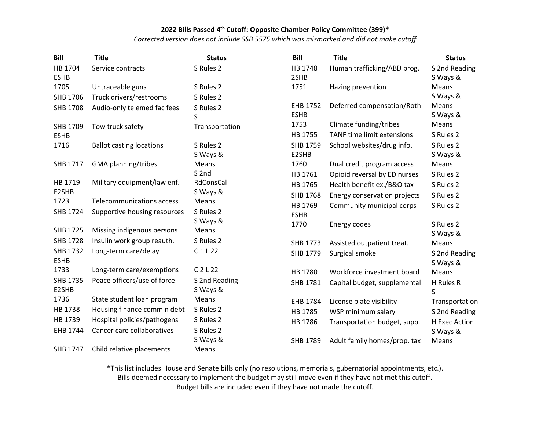*Corrected version does not include SSB 5575 which was mismarked and did not make cutoff*

| <b>Bill</b>              | <b>Title</b>                    | <b>Status</b>             | <b>Bill</b>             | <b>Title</b>                                         | <b>Status</b>             |
|--------------------------|---------------------------------|---------------------------|-------------------------|------------------------------------------------------|---------------------------|
| HB 1704<br><b>ESHB</b>   | Service contracts               | S Rules 2                 | HB 1748<br>2SHB         | Human trafficking/ABD prog.                          | S 2nd Reading<br>S Ways & |
| 1705                     | Untraceable guns                | S Rules 2                 | 1751                    | Hazing prevention                                    | Means                     |
| SHB 1706                 | Truck drivers/restrooms         | S Rules 2                 |                         |                                                      | S Ways &                  |
| <b>SHB 1708</b>          | Audio-only telemed fac fees     | S Rules 2<br>S            | EHB 1752<br><b>ESHB</b> | Deferred compensation/Roth                           | Means<br>S Ways &         |
| SHB 1709<br><b>ESHB</b>  | Tow truck safety                | Transportation            | 1753<br>HB 1755         | Climate funding/tribes<br>TANF time limit extensions | Means<br>S Rules 2        |
| 1716                     | <b>Ballot casting locations</b> | S Rules 2<br>S Ways &     | SHB 1759<br>E2SHB       | School websites/drug info.                           | S Rules 2<br>S Ways &     |
| SHB 1717                 | GMA planning/tribes             | Means                     | 1760                    | Dual credit program access                           | Means                     |
|                          |                                 | S <sub>2nd</sub>          | HB 1761                 | Opioid reversal by ED nurses                         | S Rules 2                 |
| HB 1719                  | Military equipment/law enf.     | RdConsCal                 | HB 1765                 | Health benefit ex./B&O tax                           | S Rules 2                 |
| E2SHB                    |                                 | S Ways &                  | SHB 1768                | Energy conservation projects                         | S Rules 2                 |
| 1723                     | Telecommunications access       | Means                     | HB 1769                 | Community municipal corps                            | S Rules 2                 |
| SHB 1724                 | Supportive housing resources    | S Rules 2<br>S Ways &     | <b>ESHB</b><br>1770     | Energy codes                                         | S Rules 2                 |
| SHB 1725                 | Missing indigenous persons      | Means                     |                         |                                                      | S Ways &                  |
| <b>SHB 1728</b>          | Insulin work group reauth.      | S Rules 2                 | SHB 1773                | Assisted outpatient treat.                           | Means                     |
| SHB 1732<br><b>ESHB</b>  | Long-term care/delay            | C1L22                     | SHB 1779                | Surgical smoke                                       | S 2nd Reading<br>S Ways & |
| 1733                     | Long-term care/exemptions       | $C$ 2 L 22                | HB 1780                 | Workforce investment board                           | Means                     |
| <b>SHB 1735</b><br>E2SHB | Peace officers/use of force     | S 2nd Reading<br>S Ways & | SHB 1781                | Capital budget, supplemental                         | H Rules R<br>S            |
| 1736                     | State student loan program      | Means                     | EHB 1784                | License plate visibility                             | Transportation            |
| HB 1738                  | Housing finance comm'n debt     | S Rules 2                 | HB 1785                 | WSP minimum salary                                   | S 2nd Reading             |
| HB 1739                  | Hospital policies/pathogens     | S Rules 2                 | HB 1786                 | Transportation budget, supp.                         | H Exec Action             |
| EHB 1744                 | Cancer care collaboratives      | S Rules 2                 |                         |                                                      | S Ways &                  |
|                          |                                 | S Ways &                  | SHB 1789                | Adult family homes/prop. tax                         | Means                     |
| SHB 1747                 | Child relative placements       | Means                     |                         |                                                      |                           |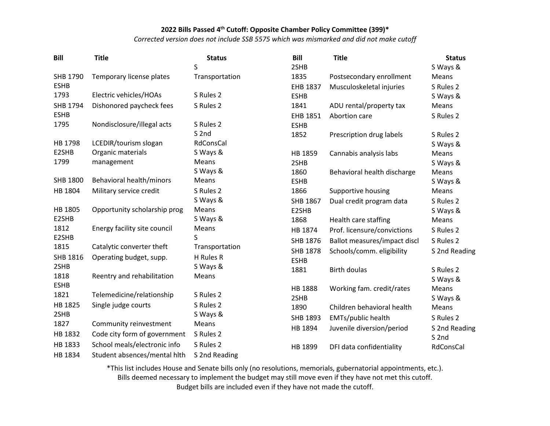*Corrected version does not include SSB 5575 which was mismarked and did not make cutoff*

| <b>Bill</b>         | <b>Title</b>                 | <b>Status</b>    | Bill            | <b>Title</b>                 | <b>Status</b>    |
|---------------------|------------------------------|------------------|-----------------|------------------------------|------------------|
|                     |                              | S                | 2SHB            |                              | S Ways &         |
| SHB 1790            | Temporary license plates     | Transportation   | 1835            | Postsecondary enrollment     | Means            |
| <b>ESHB</b>         |                              |                  | <b>EHB 1837</b> | Musculoskeletal injuries     | S Rules 2        |
| 1793                | Electric vehicles/HOAs       | S Rules 2        | <b>ESHB</b>     |                              | S Ways &         |
| SHB 1794            | Dishonored paycheck fees     | S Rules 2        | 1841            | ADU rental/property tax      | Means            |
| <b>ESHB</b>         |                              |                  | EHB 1851        | Abortion care                | S Rules 2        |
| 1795                | Nondisclosure/illegal acts   | S Rules 2        | <b>ESHB</b>     |                              |                  |
|                     |                              | S <sub>2nd</sub> | 1852            | Prescription drug labels     | S Rules 2        |
| HB 1798             | LCEDIR/tourism slogan        | RdConsCal        |                 |                              | S Ways &         |
| E2SHB               | Organic materials            | S Ways &         | HB 1859         | Cannabis analysis labs       | Means            |
| 1799                | management                   | Means            | 2SHB            |                              | S Ways &         |
|                     |                              | S Ways &         | 1860            | Behavioral health discharge  | Means            |
| <b>SHB 1800</b>     | Behavioral health/minors     | Means            | <b>ESHB</b>     |                              | S Ways &         |
| HB 1804             | Military service credit      | S Rules 2        | 1866            | Supportive housing           | Means            |
|                     |                              | S Ways &         | SHB 1867        | Dual credit program data     | S Rules 2        |
| HB 1805             | Opportunity scholarship prog | Means            | E2SHB           |                              | S Ways &         |
| E2SHB               |                              | S Ways &         | 1868            | Health care staffing         | Means            |
| 1812                | Energy facility site council | Means            | HB 1874         | Prof. licensure/convictions  | S Rules 2        |
| E2SHB               |                              | S                | SHB 1876        | Ballot measures/impact discl | S Rules 2        |
| 1815                | Catalytic converter theft    | Transportation   | SHB 1878        | Schools/comm. eligibility    | S 2nd Reading    |
| SHB 1816            | Operating budget, supp.      | H Rules R        | <b>ESHB</b>     |                              |                  |
| 2SHB                |                              | S Ways &         | 1881            | Birth doulas                 | S Rules 2        |
| 1818<br><b>ESHB</b> | Reentry and rehabilitation   | Means            |                 |                              | S Ways &         |
| 1821                | Telemedicine/relationship    | S Rules 2        | HB 1888         | Working fam. credit/rates    | Means            |
|                     |                              |                  | 2SHB            |                              | S Ways &         |
| HB 1825             | Single judge courts          | S Rules 2        | 1890            | Children behavioral health   | Means            |
| 2SHB<br>1827        |                              | S Ways &         | SHB 1893        | EMTs/public health           | S Rules 2        |
|                     | Community reinvestment       | Means            | HB 1894         | Juvenile diversion/period    | S 2nd Reading    |
| HB 1832             | Code city form of government | S Rules 2        |                 |                              | S <sub>2nd</sub> |
| HB 1833             | School meals/electronic info | S Rules 2        | HB 1899         | DFI data confidentiality     | RdConsCal        |
| HB 1834             | Student absences/mental hith | S 2nd Reading    |                 |                              |                  |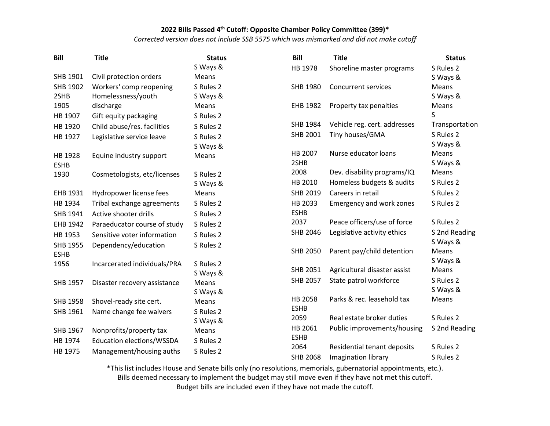*Corrected version does not include SSB 5575 which was mismarked and did not make cutoff*

| <b>Bill</b>     | <b>Title</b>                 | <b>Status</b> | <b>Bill</b>         | <b>Title</b>                 | <b>Status</b>     |
|-----------------|------------------------------|---------------|---------------------|------------------------------|-------------------|
|                 |                              | S Ways &      | HB 1978             | Shoreline master programs    | S Rules 2         |
| SHB 1901        | Civil protection orders      | <b>Means</b>  |                     |                              | S Ways &          |
| SHB 1902        | Workers' comp reopening      | S Rules 2     | SHB 1980            | <b>Concurrent services</b>   | Means             |
| 2SHB            | Homelessness/youth           | S Ways &      |                     |                              | S Ways &          |
| 1905            | discharge                    | Means         | EHB 1982            | Property tax penalties       | Means             |
| HB 1907         | Gift equity packaging        | S Rules 2     |                     |                              | S                 |
| HB 1920         | Child abuse/res. facilities  | S Rules 2     | SHB 1984            | Vehicle reg. cert. addresses | Transportation    |
| HB 1927         | Legislative service leave    | S Rules 2     | SHB 2001            | Tiny houses/GMA              | S Rules 2         |
|                 |                              | S Ways &      |                     |                              | S Ways &          |
| HB 1928         | Equine industry support      | Means         | HB 2007             | Nurse educator loans         | Means             |
| <b>ESHB</b>     |                              |               | 2SHB                |                              | S Ways &          |
| 1930            | Cosmetologists, etc/licenses | S Rules 2     | 2008                | Dev. disability programs/IQ  | Means             |
|                 |                              | S Ways &      | HB 2010             | Homeless budgets & audits    | S Rules 2         |
| EHB 1931        | Hydropower license fees      | Means         | SHB 2019            | Careers in retail            | S Rules 2         |
| HB 1934         | Tribal exchange agreements   | S Rules 2     | HB 2033             | Emergency and work zones     | S Rules 2         |
| SHB 1941        | Active shooter drills        | S Rules 2     | <b>ESHB</b>         |                              |                   |
| EHB 1942        | Paraeducator course of study | S Rules 2     | 2037                | Peace officers/use of force  | S Rules 2         |
| HB 1953         | Sensitive voter information  | S Rules 2     | SHB 2046            | Legislative activity ethics  | S 2nd Reading     |
| <b>SHB 1955</b> | Dependency/education         | S Rules 2     |                     |                              | S Ways &          |
| <b>ESHB</b>     |                              |               | <b>SHB 2050</b>     | Parent pay/child detention   | Means             |
| 1956            | Incarcerated individuals/PRA | S Rules 2     | <b>SHB 2051</b>     | Agricultural disaster assist | S Ways &<br>Means |
|                 |                              | S Ways &      |                     |                              | S Rules 2         |
| SHB 1957        | Disaster recovery assistance | Means         | <b>SHB 2057</b>     | State patrol workforce       |                   |
|                 |                              | S Ways &      | HB 2058             | Parks & rec. leasehold tax   | S Ways &<br>Means |
| SHB 1958        | Shovel-ready site cert.      | Means         | <b>ESHB</b>         |                              |                   |
| SHB 1961        | Name change fee waivers      | S Rules 2     | 2059                | Real estate broker duties    | S Rules 2         |
|                 |                              | S Ways &      |                     |                              |                   |
| SHB 1967        | Nonprofits/property tax      | Means         | HB 2061             | Public improvements/housing  | S 2nd Reading     |
| HB 1974         | Education elections/WSSDA    | S Rules 2     | <b>ESHB</b><br>2064 | Residential tenant deposits  | S Rules 2         |
| HB 1975         | Management/housing auths     | S Rules 2     |                     |                              |                   |
|                 |                              |               | <b>SHB 2068</b>     | Imagination library          | S Rules 2         |

\*This list includes House and Senate bills only (no resolutions, memorials, gubernatorial appointments, etc.). Bills deemed necessary to implement the budget may still move even if they have not met this cutoff.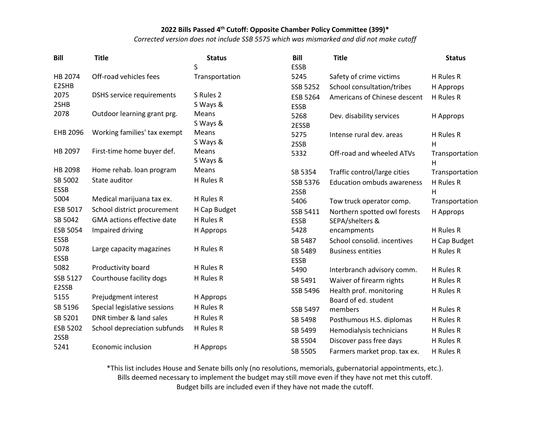*Corrected version does not include SSB 5575 which was mismarked and did not make cutoff*

| <b>Bill</b>     | <b>Title</b>                      | <b>Status</b>  | <b>Bill</b>     | <b>Title</b>                      | <b>Status</b>  |
|-----------------|-----------------------------------|----------------|-----------------|-----------------------------------|----------------|
|                 |                                   | S              | <b>ESSB</b>     |                                   |                |
| HB 2074         | Off-road vehicles fees            | Transportation | 5245            | Safety of crime victims           | H Rules R      |
| E2SHB           |                                   |                | SSB 5252        | School consultation/tribes        | H Approps      |
| 2075            | <b>DSHS</b> service requirements  | S Rules 2      | ESB 5264        | Americans of Chinese descent      | H Rules R      |
| 2SHB            |                                   | S Ways &       | <b>ESSB</b>     |                                   |                |
| 2078            | Outdoor learning grant prg.       | Means          | 5268            | Dev. disability services          | H Approps      |
|                 |                                   | S Ways &       | 2ESSB           |                                   |                |
| EHB 2096        | Working families' tax exempt      | Means          | 5275            | Intense rural dev. areas          | H Rules R      |
|                 |                                   | S Ways &       | 2SSB            |                                   | H              |
| HB 2097         | First-time home buyer def.        | Means          | 5332            | Off-road and wheeled ATVs         | Transportation |
|                 |                                   | S Ways &       |                 |                                   | H              |
| HB 2098         | Home rehab. loan program          | Means          | SB 5354         | Traffic control/large cities      | Transportation |
| SB 5002         | State auditor                     | H Rules R      | SSB 5376        | <b>Education ombuds awareness</b> | H Rules R      |
| <b>ESSB</b>     |                                   |                | 2SSB            |                                   | H              |
| 5004            | Medical marijuana tax ex.         | H Rules R      | 5406            | Tow truck operator comp.          | Transportation |
| ESB 5017        | School district procurement       | H Cap Budget   | SSB 5411        | Northern spotted owl forests      | H Approps      |
| SB 5042         | <b>GMA</b> actions effective date | H Rules R      | <b>ESSB</b>     | SEPA/shelters &                   |                |
| <b>ESB 5054</b> | Impaired driving                  | H Approps      | 5428            | encampments                       | H Rules R      |
| <b>ESSB</b>     |                                   |                | SB 5487         | School consolid. incentives       | H Cap Budget   |
| 5078            | Large capacity magazines          | H Rules R      | SB 5489         | <b>Business entities</b>          | H Rules R      |
| <b>ESSB</b>     |                                   |                | <b>ESSB</b>     |                                   |                |
| 5082            | Productivity board                | H Rules R      | 5490            | Interbranch advisory comm.        | H Rules R      |
| SSB 5127        | Courthouse facility dogs          | H Rules R      | SB 5491         | Waiver of firearm rights          | H Rules R      |
| E2SSB           |                                   |                | SSB 5496        | Health prof. monitoring           | H Rules R      |
| 5155            | Prejudgment interest              | H Approps      |                 | Board of ed. student              |                |
| SB 5196         | Special legislative sessions      | H Rules R      | <b>SSB 5497</b> | members                           | H Rules R      |
| SB 5201         | DNR timber & land sales           | H Rules R      | SB 5498         | Posthumous H.S. diplomas          | H Rules R      |
| <b>ESB 5202</b> | School depreciation subfunds      | H Rules R      | SB 5499         | Hemodialysis technicians          | H Rules R      |
| 2SSB            |                                   |                | SB 5504         | Discover pass free days           | H Rules R      |
| 5241            | Economic inclusion                | H Approps      | SB 5505         | Farmers market prop. tax ex.      | H Rules R      |

\*This list includes House and Senate bills only (no resolutions, memorials, gubernatorial appointments, etc.).

Bills deemed necessary to implement the budget may still move even if they have not met this cutoff.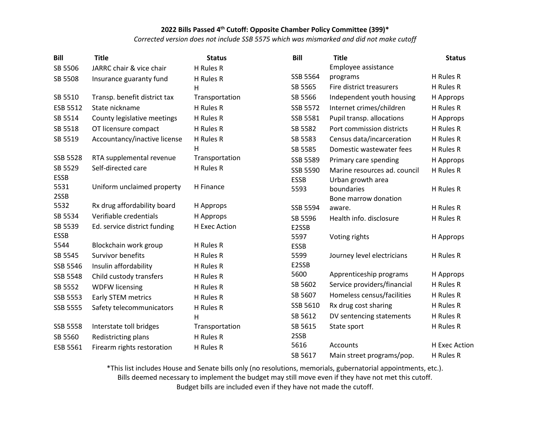*Corrected version does not include SSB 5575 which was mismarked and did not make cutoff*

| <b>Bill</b>     | <b>Title</b>                 | <b>Status</b>  | <b>Bill</b>     | <b>Title</b>                 | <b>Status</b> |
|-----------------|------------------------------|----------------|-----------------|------------------------------|---------------|
| SB 5506         | JARRC chair & vice chair     | H Rules R      |                 | Employee assistance          |               |
| SB 5508         | Insurance guaranty fund      | H Rules R      | SSB 5564        | programs                     | H Rules R     |
|                 |                              | Н              | SB 5565         | Fire district treasurers     | H Rules R     |
| SB 5510         | Transp. benefit district tax | Transportation | SB 5566         | Independent youth housing    | H Approps     |
| ESB 5512        | State nickname               | H Rules R      | SSB 5572        | Internet crimes/children     | H Rules R     |
| SB 5514         | County legislative meetings  | H Rules R      | SSB 5581        | Pupil transp. allocations    | H Approps     |
| SB 5518         | OT licensure compact         | H Rules R      | SB 5582         | Port commission districts    | H Rules R     |
| SB 5519         | Accountancy/inactive license | H Rules R      | SB 5583         | Census data/incarceration    | H Rules R     |
|                 |                              | н              | SB 5585         | Domestic wastewater fees     | H Rules R     |
| <b>SSB 5528</b> | RTA supplemental revenue     | Transportation | SSB 5589        | Primary care spending        | H Approps     |
| SB 5529         | Self-directed care           | H Rules R      | <b>SSB 5590</b> | Marine resources ad. council | H Rules R     |
| <b>ESSB</b>     |                              |                | <b>ESSB</b>     | Urban growth area            |               |
| 5531            | Uniform unclaimed property   | H Finance      | 5593            | boundaries                   | H Rules R     |
| 2SSB            |                              |                |                 | Bone marrow donation         |               |
| 5532            | Rx drug affordability board  | H Approps      | SSB 5594        | aware.                       | H Rules R     |
| SB 5534         | Verifiable credentials       | H Approps      | SB 5596         | Health info. disclosure      | H Rules R     |
| SB 5539         | Ed. service district funding | H Exec Action  | E2SSB           |                              |               |
| <b>ESSB</b>     |                              |                | 5597            | Voting rights                | H Approps     |
| 5544            | Blockchain work group        | H Rules R      | <b>ESSB</b>     |                              |               |
| SB 5545         | <b>Survivor benefits</b>     | H Rules R      | 5599            | Journey level electricians   | H Rules R     |
| SSB 5546        | Insulin affordability        | H Rules R      | E2SSB           |                              |               |
| <b>SSB 5548</b> | Child custody transfers      | H Rules R      | 5600            | Apprenticeship programs      | H Approps     |
| SB 5552         | <b>WDFW licensing</b>        | H Rules R      | SB 5602         | Service providers/financial  | H Rules R     |
| SSB 5553        | Early STEM metrics           | H Rules R      | SB 5607         | Homeless census/facilities   | H Rules R     |
| <b>SSB 5555</b> | Safety telecommunicators     | H Rules R      | SSB 5610        | Rx drug cost sharing         | H Rules R     |
|                 |                              | н              | SB 5612         | DV sentencing statements     | H Rules R     |
| <b>SSB 5558</b> | Interstate toll bridges      | Transportation | SB 5615         | State sport                  | H Rules R     |
| SB 5560         | Redistricting plans          | H Rules R      | 2SSB            |                              |               |
| ESB 5561        | Firearm rights restoration   | H Rules R      | 5616            | Accounts                     | H Exec Action |
|                 |                              |                | SB 5617         | Main street programs/pop.    | H Rules R     |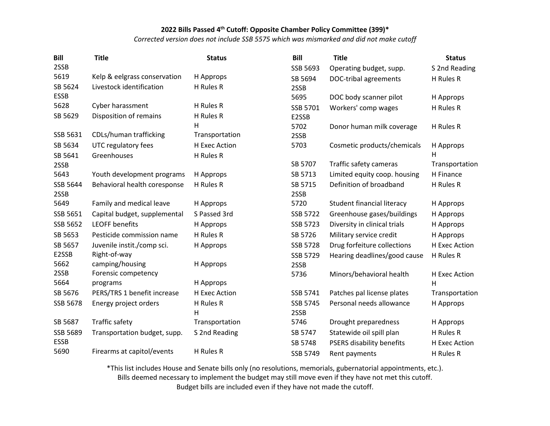*Corrected version does not include SSB 5575 which was mismarked and did not make cutoff*

| Bill        | <b>Title</b>                 | <b>Status</b>  | <b>Bill</b>     | <b>Title</b>                 | <b>Status</b>  |
|-------------|------------------------------|----------------|-----------------|------------------------------|----------------|
| 2SSB        |                              |                | SSB 5693        | Operating budget, supp.      | S 2nd Reading  |
| 5619        | Kelp & eelgrass conservation | H Approps      | SB 5694         | DOC-tribal agreements        | H Rules R      |
| SB 5624     | Livestock identification     | H Rules R      | 2SSB            |                              |                |
| <b>ESSB</b> |                              |                | 5695            | DOC body scanner pilot       | H Approps      |
| 5628        | Cyber harassment             | H Rules R      | SSB 5701        | Workers' comp wages          | H Rules R      |
| SB 5629     | Disposition of remains       | H Rules R      | E2SSB           |                              |                |
|             |                              | H              | 5702            | Donor human milk coverage    | H Rules R      |
| SSB 5631    | CDLs/human trafficking       | Transportation | 2SSB            |                              |                |
| SB 5634     | UTC regulatory fees          | H Exec Action  | 5703            | Cosmetic products/chemicals  | H Approps      |
| SB 5641     | Greenhouses                  | H Rules R      |                 |                              | Н              |
| 2SSB        |                              |                | SB 5707         | Traffic safety cameras       | Transportation |
| 5643        | Youth development programs   | H Approps      | SB 5713         | Limited equity coop. housing | H Finance      |
| SSB 5644    | Behavioral health coresponse | H Rules R      | SB 5715         | Definition of broadband      | H Rules R      |
| 2SSB        |                              |                | 2SSB            |                              |                |
| 5649        | Family and medical leave     | H Approps      | 5720            | Student financial literacy   | H Approps      |
| SSB 5651    | Capital budget, supplemental | S Passed 3rd   | <b>SSB 5722</b> | Greenhouse gases/buildings   | H Approps      |
| SSB 5652    | <b>LEOFF benefits</b>        | H Approps      | <b>SSB 5723</b> | Diversity in clinical trials | H Approps      |
| SB 5653     | Pesticide commission name    | H Rules R      | SB 5726         | Military service credit      | H Approps      |
| SB 5657     | Juvenile instit./comp sci.   | H Approps      | <b>SSB 5728</b> | Drug forfeiture collections  | H Exec Action  |
| E2SSB       | Right-of-way                 |                | SSB 5729        | Hearing deadlines/good cause | H Rules R      |
| 5662        | camping/housing              | H Approps      | 2SSB            |                              |                |
| 2SSB        | Forensic competency          |                | 5736            | Minors/behavioral health     | H Exec Action  |
| 5664        | programs                     | H Approps      |                 |                              | H              |
| SB 5676     | PERS/TRS 1 benefit increase  | H Exec Action  | SSB 5741        | Patches pal license plates   | Transportation |
| SSB 5678    | Energy project orders        | H Rules R      | SSB 5745        | Personal needs allowance     | H Approps      |
|             |                              | Н              | 2SSB            |                              |                |
| SB 5687     | Traffic safety               | Transportation | 5746            | Drought preparedness         | H Approps      |
| SSB 5689    | Transportation budget, supp. | S 2nd Reading  | SB 5747         | Statewide oil spill plan     | H Rules R      |
| <b>ESSB</b> |                              |                | SB 5748         | PSERS disability benefits    | H Exec Action  |
| 5690        | Firearms at capitol/events   | H Rules R      | SSB 5749        | Rent payments                | H Rules R      |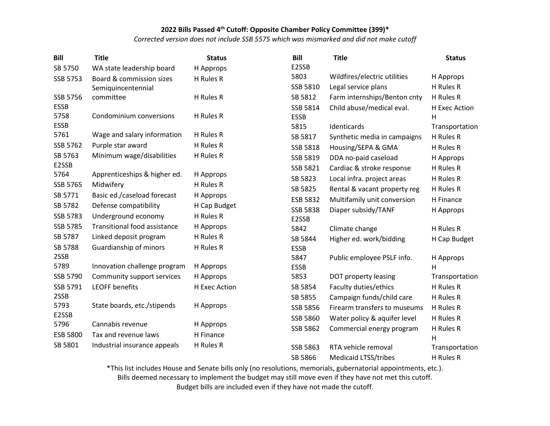*Corrected version does not include SSB 5575 which was mismarked and did not make cutoff*

| <b>Bill</b>     | <b>Title</b>                        | <b>Status</b> | <b>Bill</b>     | <b>Title</b>                 | <b>Status</b>  |
|-----------------|-------------------------------------|---------------|-----------------|------------------------------|----------------|
| SB 5750         | WA state leadership board           | H Approps     | E2SSB           |                              |                |
| SSB 5753        | Board & commission sizes            | H Rules R     | 5803            | Wildfires/electric utilities | H Approps      |
|                 | Semiquincentennial                  |               | SSB 5810        | Legal service plans          | H Rules R      |
| SSB 5756        | committee                           | H Rules R     | SB 5812         | Farm internships/Benton cnty | H Rules R      |
| <b>ESSB</b>     |                                     |               | SSB 5814        | Child abuse/medical eval.    | H Exec Action  |
| 5758            | Condominium conversions             | H Rules R     | <b>ESSB</b>     |                              | H              |
| <b>ESSB</b>     |                                     |               | 5815            | Identicards                  | Transportation |
| 5761            | Wage and salary information         | H Rules R     | SB 5817         | Synthetic media in campaigns | H Rules R      |
| SSB 5762        | Purple star award                   | H Rules R     | SSB 5818        | Housing/SEPA & GMA           | H Rules R      |
| SB 5763         | Minimum wage/disabilities           | H Rules R     | SSB 5819        | DDA no-paid caseload         | H Approps      |
| E2SSB           |                                     |               | SSB 5821        | Cardiac & stroke response    | H Rules R      |
| 5764            | Apprenticeships & higher ed.        | H Approps     | SB 5823         | Local infra. project areas   | H Rules R      |
| SSB 5765        | Midwifery                           | H Rules R     | SB 5825         | Rental & vacant property reg | H Rules R      |
| SB 5771         | Basic ed./caseload forecast         | H Approps     | ESB 5832        | Multifamily unit conversion  | H Finance      |
| SB 5782         | Defense compatibility               | H Cap Budget  | <b>SSB 5838</b> | Diaper subsidy/TANF          | H Approps      |
| SSB 5783        | Underground economy                 | H Rules R     | E2SSB           |                              |                |
| <b>SSB 5785</b> | <b>Transitional food assistance</b> | H Approps     | 5842            | Climate change               | H Rules R      |
| SB 5787         | Linked deposit program              | H Rules R     | SB 5844         | Higher ed. work/bidding      | H Cap Budget   |
| SB 5788         | Guardianship of minors              | H Rules R     | <b>ESSB</b>     |                              |                |
| 2SSB            |                                     |               | 5847            | Public employee PSLF info.   | H Approps      |
| 5789            | Innovation challenge program        | H Approps     | ESSB            |                              | н              |
| SSB 5790        | Community support services          | H Approps     | 5853            | DOT property leasing         | Transportation |
| SSB 5791        | <b>LEOFF benefits</b>               | H Exec Action | SB 5854         | Faculty duties/ethics        | H Rules R      |
| 2SSB            |                                     |               | SB 5855         | Campaign funds/child care    | H Rules R      |
| 5793            | State boards, etc./stipends         | H Approps     | SSB 5856        | Firearm transfers to museums | H Rules R      |
| E2SSB           |                                     |               | SSB 5860        | Water policy & aquifer level | H Rules R      |
| 5796            | Cannabis revenue                    | H Approps     | SSB 5862        | Commercial energy program    | H Rules R      |
| <b>ESB 5800</b> | Tax and revenue laws                | H Finance     |                 |                              | н              |
| SB 5801         | Industrial insurance appeals        | H Rules R     | <b>SSB 5863</b> | RTA vehicle removal          | Transportation |
|                 |                                     |               | SB 5866         | <b>Medicaid LTSS/tribes</b>  | H Rules R      |

\*This list includes House and Senate bills only (no resolutions, memorials, gubernatorial appointments, etc.). Bills deemed necessary to implement the budget may still move even if they have not met this cutoff.